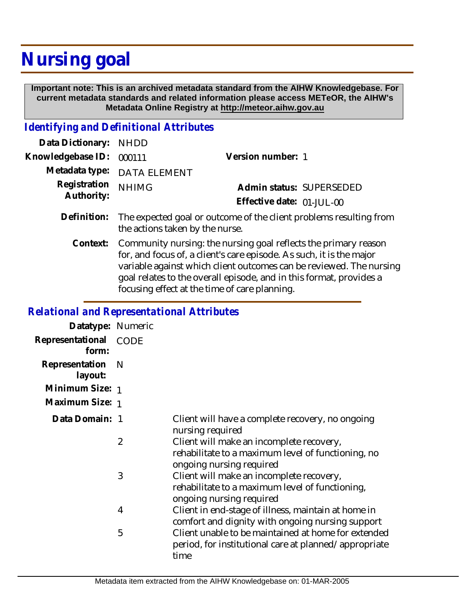## **Nursing goal**

 **Important note: This is an archived metadata standard from the AIHW Knowledgebase. For current metadata standards and related information please access METeOR, the AIHW's Metadata Online Registry at http://meteor.aihw.gov.au**

## *Identifying and Definitional Attributes*

| Data Dictionary: NHDD      |                                                                                |                           |                          |
|----------------------------|--------------------------------------------------------------------------------|---------------------------|--------------------------|
| Knowledgebase ID: 000111   |                                                                                | Version number: 1         |                          |
|                            | Metadata type: DATA ELEMENT                                                    |                           |                          |
| Registration<br>Authority: | <b>NHIMG</b>                                                                   |                           | Admin status: SUPERSEDED |
|                            |                                                                                | Effective date: 01-JUL-00 |                          |
|                            | Definition: The expected goal or outcome of the client problems resulting from |                           |                          |

the actions taken by the nurse.

Community nursing: the nursing goal reflects the primary reason for, and focus of, a client's care episode. As such, it is the major variable against which client outcomes can be reviewed. The nursing goal relates to the overall episode, and in this format, provides a focusing effect at the time of care planning. **Context:**

## *Relational and Representational Attributes*

| Datatype: Numeric         |      |                                                                                                                                                     |
|---------------------------|------|-----------------------------------------------------------------------------------------------------------------------------------------------------|
| Representational<br>form: | CODE |                                                                                                                                                     |
| Representation<br>layout: | -N   |                                                                                                                                                     |
| Minimum Size: 1           |      |                                                                                                                                                     |
| Maximum Size: 1           |      |                                                                                                                                                     |
| Data Domain: 1            |      | Client will have a complete recovery, no ongoing<br>nursing required                                                                                |
|                           | 2    | Client will make an incomplete recovery,<br>rehabilitate to a maximum level of functioning, no                                                      |
|                           | 3    | ongoing nursing required<br>Client will make an incomplete recovery,<br>rehabilitate to a maximum level of functioning,<br>ongoing nursing required |
|                           | 4    | Client in end-stage of illness, maintain at home in<br>comfort and dignity with ongoing nursing support                                             |
|                           | 5    | Client unable to be maintained at home for extended<br>period, for institutional care at planned/appropriate<br>time                                |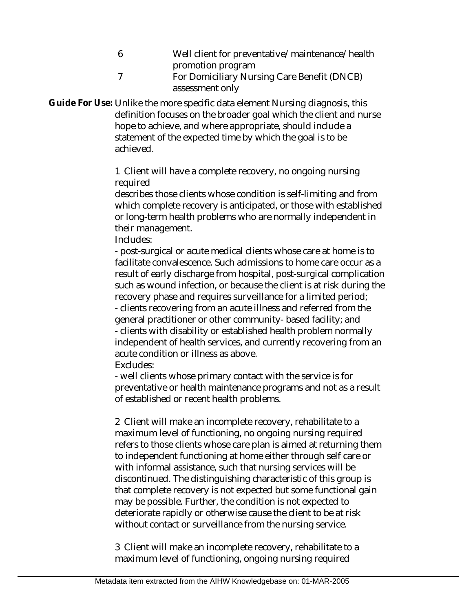- 6 Well client for preventative/maintenance/health promotion program
- 7 For Domiciliary Nursing Care Benefit (DNCB) assessment only

Guide For Use: Unlike the more specific data element Nursing diagnosis, this definition focuses on the broader goal which the client and nurse hope to achieve, and where appropriate, should include a statement of the expected time by which the goal is to be achieved.

> 1 Client will have a complete recovery, no ongoing nursing required

describes those clients whose condition is self-limiting and from which complete recovery is anticipated, or those with established or long-term health problems who are normally independent in their management.

Includes:

- post-surgical or acute medical clients whose care at home is to facilitate convalescence. Such admissions to home care occur as a result of early discharge from hospital, post-surgical complication such as wound infection, or because the client is at risk during the recovery phase and requires surveillance for a limited period; - clients recovering from an acute illness and referred from the general practitioner or other community- based facility; and - clients with disability or established health problem normally independent of health services, and currently recovering from an acute condition or illness as above.

Excludes:

- well clients whose primary contact with the service is for preventative or health maintenance programs and not as a result of established or recent health problems.

2 Client will make an incomplete recovery, rehabilitate to a maximum level of functioning, no ongoing nursing required refers to those clients whose care plan is aimed at returning them to independent functioning at home either through self care or with informal assistance, such that nursing services will be discontinued. The distinguishing characteristic of this group is that complete recovery is not expected but some functional gain may be possible. Further, the condition is not expected to deteriorate rapidly or otherwise cause the client to be at risk without contact or surveillance from the nursing service.

3 Client will make an incomplete recovery, rehabilitate to a maximum level of functioning, ongoing nursing required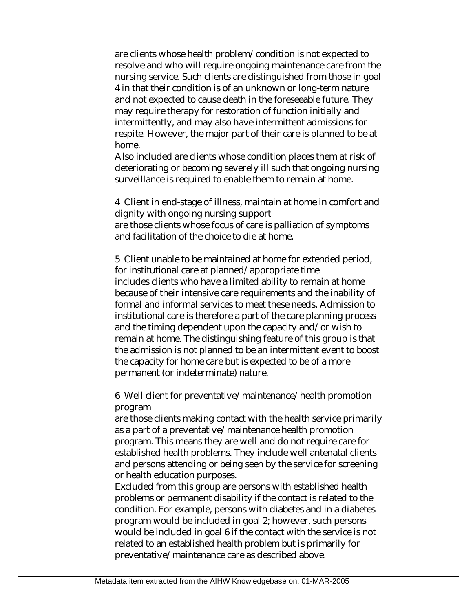are clients whose health problem/condition is not expected to resolve and who will require ongoing maintenance care from the nursing service. Such clients are distinguished from those in goal 4 in that their condition is of an unknown or long-term nature and not expected to cause death in the foreseeable future. They may require therapy for restoration of function initially and intermittently, and may also have intermittent admissions for respite. However, the major part of their care is planned to be at home.

Also included are clients whose condition places them at risk of deteriorating or becoming severely ill such that ongoing nursing surveillance is required to enable them to remain at home.

4 Client in end-stage of illness, maintain at home in comfort and dignity with ongoing nursing support are those clients whose focus of care is palliation of symptoms and facilitation of the choice to die at home.

5 Client unable to be maintained at home for extended period, for institutional care at planned/appropriate time includes clients who have a limited ability to remain at home because of their intensive care requirements and the inability of formal and informal services to meet these needs. Admission to institutional care is therefore a part of the care planning process and the timing dependent upon the capacity and/or wish to remain at home. The distinguishing feature of this group is that the admission is not planned to be an intermittent event to boost the capacity for home care but is expected to be of a more permanent (or indeterminate) nature.

6 Well client for preventative/maintenance/health promotion program

are those clients making contact with the health service primarily as a part of a preventative/maintenance health promotion program. This means they are well and do not require care for established health problems. They include well antenatal clients and persons attending or being seen by the service for screening or health education purposes.

Excluded from this group are persons with established health problems or permanent disability if the contact is related to the condition. For example, persons with diabetes and in a diabetes program would be included in goal 2; however, such persons would be included in goal 6 if the contact with the service is not related to an established health problem but is primarily for preventative/maintenance care as described above.